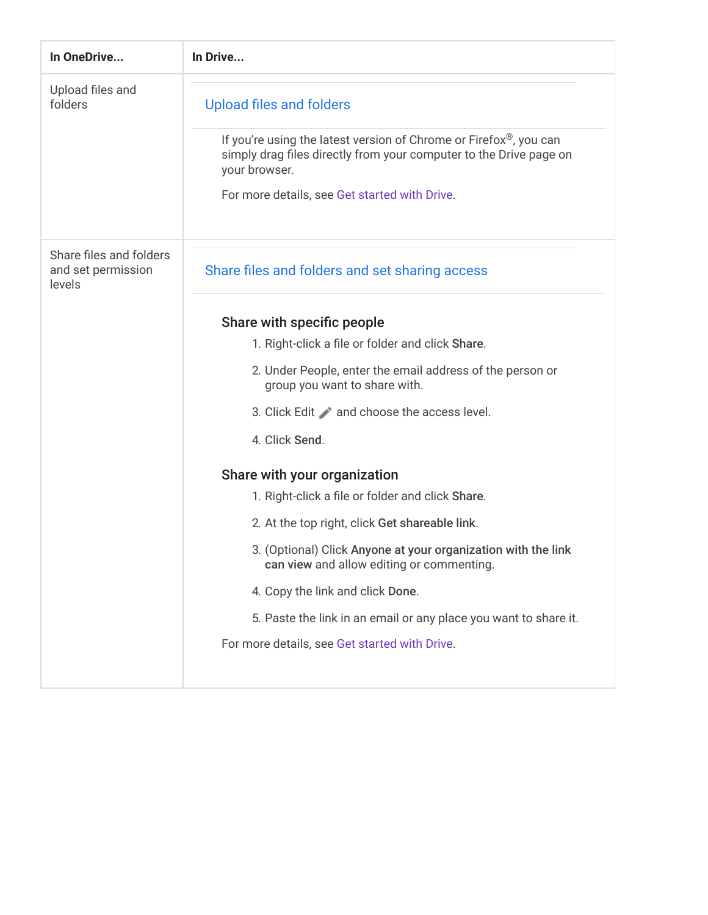| In OneDrive                                             | In Drive                                                                                                                                                              |
|---------------------------------------------------------|-----------------------------------------------------------------------------------------------------------------------------------------------------------------------|
| Upload files and<br>folders                             | <b>Upload files and folders</b>                                                                                                                                       |
|                                                         | If you're using the latest version of Chrome or Firefox <sup>®</sup> , you can<br>simply drag files directly from your computer to the Drive page on<br>your browser. |
|                                                         | For more details, see Get started with Drive.                                                                                                                         |
| Share files and folders<br>and set permission<br>levels | Share files and folders and set sharing access                                                                                                                        |
|                                                         | Share with specific people                                                                                                                                            |
|                                                         | 1. Right-click a file or folder and click Share.                                                                                                                      |
|                                                         | 2. Under People, enter the email address of the person or<br>group you want to share with.                                                                            |
|                                                         | 3. Click Edit and choose the access level.                                                                                                                            |
|                                                         | 4. Click Send.                                                                                                                                                        |
|                                                         | Share with your organization                                                                                                                                          |
|                                                         | 1. Right-click a file or folder and click Share.                                                                                                                      |
|                                                         | 2. At the top right, click Get shareable link.                                                                                                                        |
|                                                         | 3. (Optional) Click Anyone at your organization with the link<br>can view and allow editing or commenting.                                                            |
|                                                         | 4. Copy the link and click Done.                                                                                                                                      |
|                                                         | 5. Paste the link in an email or any place you want to share it.                                                                                                      |
|                                                         | For more details, see Get started with Drive.                                                                                                                         |
|                                                         |                                                                                                                                                                       |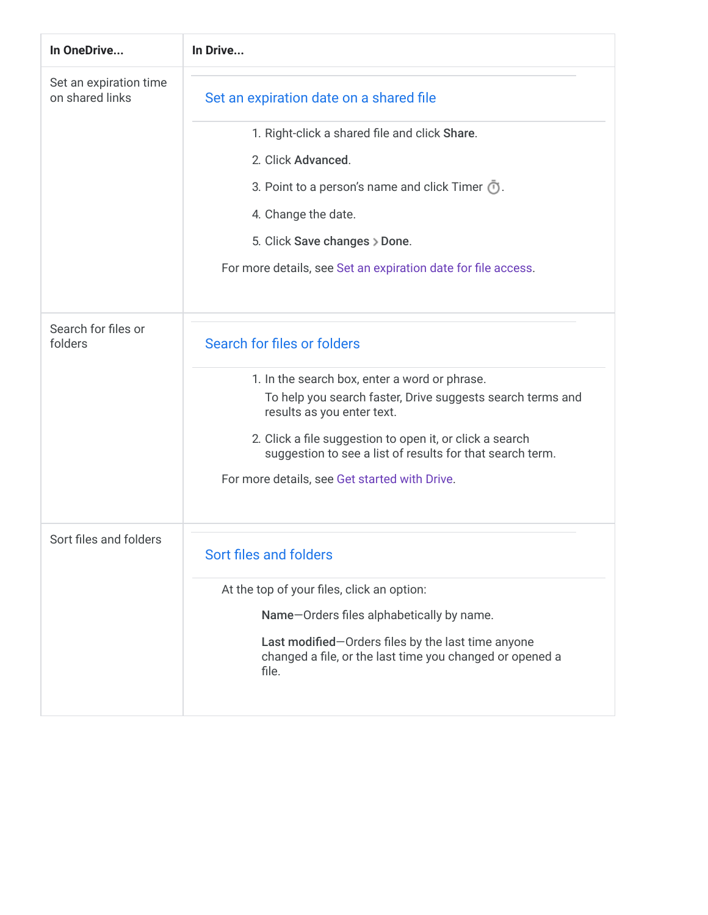| In OneDrive                               | In Drive                                                                                                                                                                                                                                                                                                            |
|-------------------------------------------|---------------------------------------------------------------------------------------------------------------------------------------------------------------------------------------------------------------------------------------------------------------------------------------------------------------------|
| Set an expiration time<br>on shared links | Set an expiration date on a shared file                                                                                                                                                                                                                                                                             |
|                                           | 1. Right-click a shared file and click Share.                                                                                                                                                                                                                                                                       |
|                                           | 2. Click Advanced.                                                                                                                                                                                                                                                                                                  |
|                                           | 3. Point to a person's name and click Timer $\overline{O}$ .                                                                                                                                                                                                                                                        |
|                                           | 4. Change the date.                                                                                                                                                                                                                                                                                                 |
|                                           | 5. Click Save changes > Done.                                                                                                                                                                                                                                                                                       |
|                                           | For more details, see Set an expiration date for file access.                                                                                                                                                                                                                                                       |
| Search for files or<br>folders            | Search for files or folders                                                                                                                                                                                                                                                                                         |
|                                           | 1. In the search box, enter a word or phrase.<br>To help you search faster, Drive suggests search terms and<br>results as you enter text.<br>2. Click a file suggestion to open it, or click a search<br>suggestion to see a list of results for that search term.<br>For more details, see Get started with Drive. |
| Sort files and folders                    | Sort files and folders<br>At the top of your files, click an option:<br>Name-Orders files alphabetically by name.<br>Last modified-Orders files by the last time anyone<br>changed a file, or the last time you changed or opened a<br>file.                                                                        |